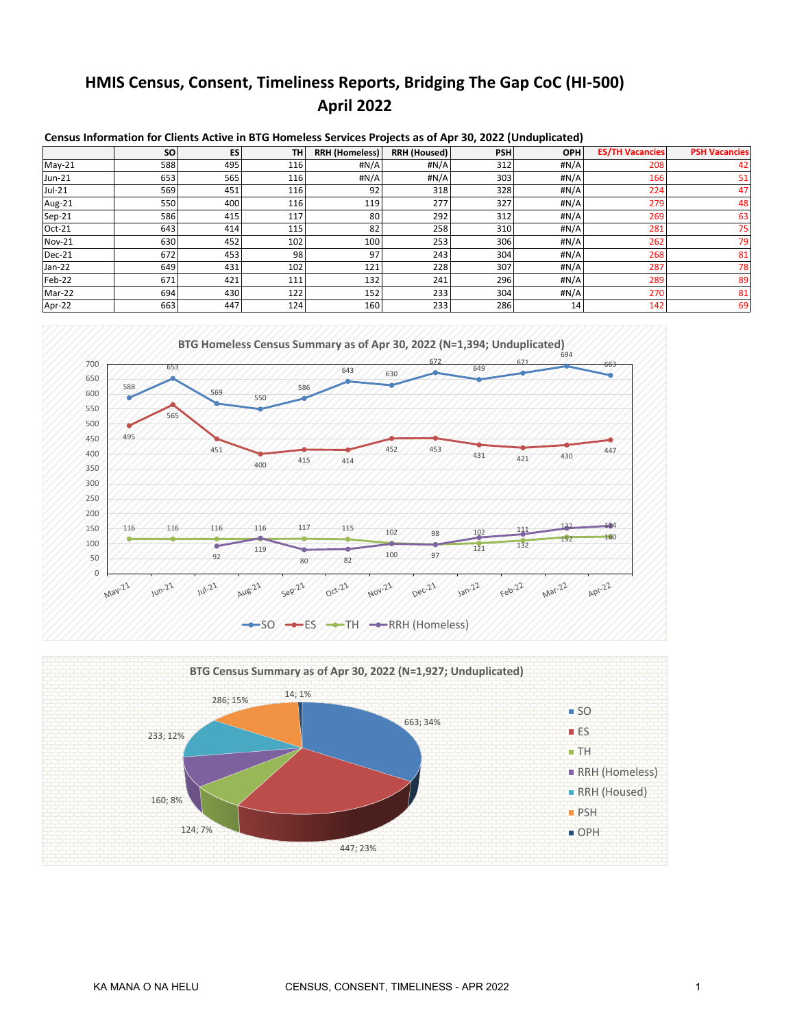# **HMIS Census, Consent, Timeliness Reports, Bridging The Gap CoC (HI-500) April 2022**

|               | <b>SO</b> | ES  | <b>TH</b> | <b>RRH (Homeless)</b> | <b>RRH (Housed)</b> | <b>PSH</b> | <b>OPH</b> | <b>ES/TH Vacancies</b> | <b>PSH Vacancies</b> |
|---------------|-----------|-----|-----------|-----------------------|---------------------|------------|------------|------------------------|----------------------|
| $May-21$      | 588       | 495 | 116       | #N/A                  | #N/A                | 312        | #N/A       | 208                    | 42                   |
| Jun-21        | 653       | 565 | 116       | #N/A                  | #N/A                | 303        | #N/A       | 166                    | 51                   |
| Jul-21        | 569       | 451 | 116       | 92                    | 318                 | 328        | #N/A       | 224                    | 47 <sub>1</sub>      |
| Aug-21        | 550       | 400 | 116       | 119                   | 277                 | 327        | #N/A       | 279                    | 48                   |
| $Sep-21$      | 586       | 415 | 117       | 80                    | 292                 | 312        | #N/A       | 269                    | 63                   |
| Oct-21        | 643       | 414 | 115       | 82                    | 258                 | 310        | #N/A       | 281                    | 751                  |
| <b>Nov-21</b> | 630       | 452 | 102       | 100                   | 253                 | 306        | #N/A       | 262                    | 79                   |
| $Dec-21$      | 672       | 453 | 98        | 97                    | 243                 | 304        | #N/A       | 268                    | 81                   |
| Jan-22        | 649       | 431 | 102       | 121                   | 228                 | 307        | #N/A       | 287                    | 78                   |
| Feb-22        | 671       | 421 | 111       | 132                   | 241                 | 296        | #N/A       | 289                    | 89                   |
| Mar-22        | 694       | 430 | 122       | 152                   | 233                 | 304        | #N/A       | 270                    | 81                   |
| Apr-22        | 663       | 447 | 124       | 160                   | 233                 | 286        | 14         | 142                    | 69                   |

#### **Census Information for Clients Active in BTG Homeless Services Projects as of Apr 30, 2022 (Unduplicated)**



### $-$ SO  $-$ ES  $-$ TH  $-$ RRH (Homeless)

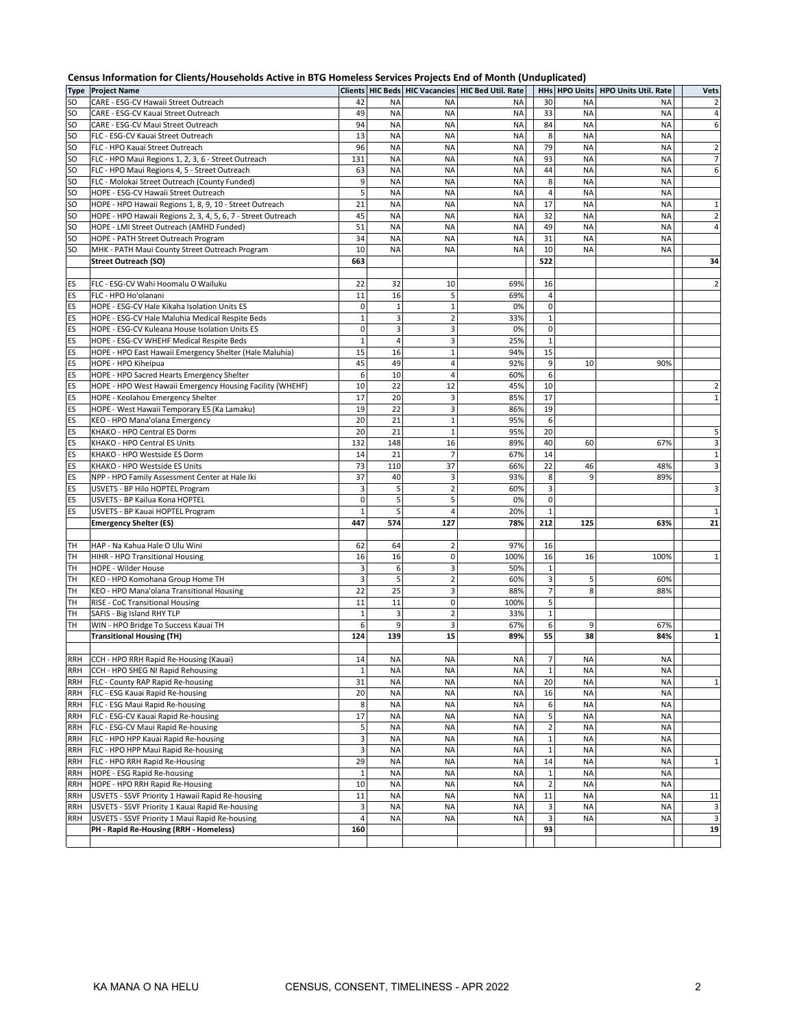|                   | Census Information for Clients/Households Active in BTG Homeless Services Projects End of Month (Unduplicated) |              |                        |                         |                                                         |                              |                        |                             |                   |
|-------------------|----------------------------------------------------------------------------------------------------------------|--------------|------------------------|-------------------------|---------------------------------------------------------|------------------------------|------------------------|-----------------------------|-------------------|
|                   | <b>Type Project Name</b>                                                                                       |              |                        |                         | Clients   HIC Beds   HIC Vacancies   HIC Bed Util. Rate |                              | HHs HPO Units          | <b>HPO Units Util. Rate</b> | <b>Vets</b>       |
| <b>SO</b>         | CARE - ESG-CV Hawaii Street Outreach                                                                           | 42           | <b>NA</b>              | <b>NA</b>               | NA                                                      | 30                           | <b>NA</b>              | <b>NA</b>                   | $\overline{2}$    |
| <b>SO</b>         | CARE - ESG-CV Kauai Street Outreach                                                                            | 49           | <b>NA</b>              | <b>NA</b>               | <b>NA</b>                                               | 33                           | <b>NA</b>              | <b>NA</b>                   | 4                 |
| SO.               | CARE - ESG-CV Maui Street Outreach                                                                             | 94           | <b>NA</b>              | <b>NA</b>               | <b>NA</b>                                               | 84                           | <b>NA</b>              | <b>NA</b>                   | 6                 |
| SO<br>SO          | FLC - ESG-CV Kauai Street Outreach<br>FLC - HPO Kauai Street Outreach                                          | 13<br>96     | <b>NA</b><br><b>NA</b> | <b>NA</b><br><b>NA</b>  | <b>NA</b><br><b>NA</b>                                  | 8<br>79                      | <b>NA</b><br><b>NA</b> | <b>NA</b><br>NA             | $\overline{2}$    |
| SO                | FLC - HPO Maui Regions 1, 2, 3, 6 - Street Outreach                                                            | 131          | <b>NA</b>              | <b>NA</b>               | <b>NA</b>                                               | 93                           | <b>NA</b>              | <b>NA</b>                   | $\overline{7}$    |
| SO                | FLC - HPO Maui Regions 4, 5 - Street Outreach                                                                  | 63           | <b>NA</b>              | <b>NA</b>               | <b>NA</b>                                               | 44                           | <b>NA</b>              | <b>NA</b>                   | 6                 |
| SO                | FLC - Molokai Street Outreach (County Funded)                                                                  | 9            | <b>NA</b>              | <b>NA</b>               | <b>NA</b>                                               | 8                            | <b>NA</b>              | <b>NA</b>                   |                   |
| SO                | HOPE - ESG-CV Hawaii Street Outreach                                                                           | 5            | <b>NA</b>              | <b>NA</b>               | <b>NA</b>                                               | $\overline{4}$               | <b>NA</b>              | <b>NA</b>                   |                   |
| <b>SO</b>         | HOPE - HPO Hawaii Regions 1, 8, 9, 10 - Street Outreach                                                        | 21           | <b>NA</b>              | <b>NA</b>               | <b>NA</b>                                               | 17                           | <b>NA</b>              | <b>NA</b>                   | $\mathbf{1}$      |
| SO                | HOPE - HPO Hawaii Regions 2, 3, 4, 5, 6, 7 - Street Outreach                                                   | 45           | <b>NA</b>              | <b>NA</b>               | <b>NA</b>                                               | 32                           | <b>NA</b>              | <b>NA</b>                   | $\overline{2}$    |
| SO                | HOPE - LMI Street Outreach (AMHD Funded)                                                                       | 51           | <b>NA</b>              | <b>NA</b>               | <b>NA</b>                                               | 49                           | <b>NA</b>              | <b>NA</b>                   | 4                 |
| SO.               | HOPE - PATH Street Outreach Program                                                                            | 34           | <b>NA</b>              | <b>NA</b>               | <b>NA</b>                                               | 31                           | <b>NA</b>              | NA                          |                   |
| <b>SO</b>         | MHK - PATH Maui County Street Outreach Program                                                                 | 10           | <b>NA</b>              | <b>NA</b>               | <b>NA</b>                                               | 10                           | <b>NA</b>              | <b>NA</b>                   |                   |
|                   | <b>Street Outreach (SO)</b>                                                                                    | 663          |                        |                         |                                                         | 522                          |                        |                             | 34                |
|                   |                                                                                                                |              |                        |                         |                                                         |                              |                        |                             |                   |
| ES                | FLC - ESG-CV Wahi Hoomalu O Wailuku                                                                            | 22           | 32                     | 10                      | 69%                                                     | 16                           |                        |                             | $\overline{2}$    |
| ES                | FLC - HPO Ho'olanani                                                                                           | 11           | 16                     | 5                       | 69%                                                     | $\overline{4}$               |                        |                             |                   |
| ES                | HOPE - ESG-CV Hale Kikaha Isolation Units ES                                                                   | $\mathbf 0$  | $\mathbf{1}$           | $\mathbf{1}$            | 0%                                                      | $\mathbf 0$                  |                        |                             |                   |
| ES                | HOPE - ESG-CV Hale Maluhia Medical Respite Beds                                                                | $\mathbf{1}$ | 3                      | $\overline{2}$          | 33%                                                     | $\mathbf{1}$                 |                        |                             |                   |
| ES                | HOPE - ESG-CV Kuleana House Isolation Units ES                                                                 | $\mathbf 0$  | 3                      | 3                       | 0%                                                      | $\mathbf 0$                  |                        |                             |                   |
| ES                | HOPE - ESG-CV WHEHF Medical Respite Beds                                                                       | $\mathbf{1}$ | $\overline{4}$         | $\mathsf 3$             | 25%                                                     | $\mathbf{1}$                 |                        |                             |                   |
| ES                | HOPE - HPO East Hawaii Emergency Shelter (Hale Maluhia)                                                        | 15           | 16                     | $\mathbf 1$             | 94%                                                     | 15                           |                        |                             |                   |
| ES                | HOPE - HPO Kiheipua                                                                                            | 45           | 49                     | $\overline{4}$          | 92%                                                     | 9                            | 10                     | 90%                         |                   |
| ES                | HOPE - HPO Sacred Hearts Emergency Shelter                                                                     | 6            | 10                     | $\overline{4}$          | 60%                                                     | 6                            |                        |                             |                   |
| ES                | HOPE - HPO West Hawaii Emergency Housing Facility (WHEHF)                                                      | 10           | 22                     | 12                      | 45%                                                     | 10                           |                        |                             | $\overline{2}$    |
| ES                | HOPE - Keolahou Emergency Shelter                                                                              | 17           | 20                     | 3                       | 85%                                                     | 17                           |                        |                             | $\mathbf{1}$      |
| ES                | HOPE - West Hawaii Temporary ES (Ka Lamaku)                                                                    | 19           | 22                     | 3                       | 86%                                                     | 19                           |                        |                             |                   |
| ES                | KEO - HPO Mana'olana Emergency                                                                                 | 20           | 21                     | $\mathbf 1$             | 95%                                                     | 6                            |                        |                             |                   |
| ES                | KHAKO - HPO Central ES Dorm                                                                                    | 20           | 21                     | $\mathbf 1$             | 95%                                                     | 20                           |                        |                             | 5                 |
| ES                | KHAKO - HPO Central ES Units                                                                                   | 132          | 148<br>21              | 16<br>$\overline{7}$    | 89%                                                     | 40<br>14                     | 60                     | 67%                         | 3                 |
| ES<br>ES          | KHAKO - HPO Westside ES Dorm<br>KHAKO - HPO Westside ES Units                                                  | 14<br>73     | 110                    | 37                      | 67%<br>66%                                              | 22                           | 46                     | 48%                         | $\mathbf{1}$<br>3 |
| ES                | NPP - HPO Family Assessment Center at Hale Iki                                                                 | 37           | 40                     | 3                       | 93%                                                     | 8                            | 9                      | 89%                         |                   |
| ES                | USVETS - BP Hilo HOPTEL Program                                                                                | 3            | 5                      | $\overline{2}$          | 60%                                                     | 3                            |                        |                             | 3                 |
| ES                | USVETS - BP Kailua Kona HOPTEL                                                                                 | $\mathbf 0$  | 5                      | 5                       | 0%                                                      | $\mathbf 0$                  |                        |                             |                   |
| ES                | USVETS - BP Kauai HOPTEL Program                                                                               | $\mathbf{1}$ | 5                      | $\overline{4}$          | 20%                                                     | $\mathbf{1}$                 |                        |                             | 1                 |
|                   | <b>Emergency Shelter (ES)</b>                                                                                  | 447          | 574                    | 127                     | 78%                                                     | 212                          | 125                    | 63%                         | 21                |
|                   |                                                                                                                |              |                        |                         |                                                         |                              |                        |                             |                   |
| TH                | HAP - Na Kahua Hale O Ulu Wini                                                                                 | 62           | 64                     | $\mathbf 2$             | 97%                                                     | 16                           |                        |                             |                   |
| TH                | HIHR - HPO Transitional Housing                                                                                | 16           | 16                     | $\pmb{0}$               | 100%                                                    | 16                           | 16                     | 100%                        | $\mathbf{1}$      |
| TH                | HOPE - Wilder House                                                                                            | 3            | 6                      | 3                       | 50%                                                     | $\mathbf{1}$                 |                        |                             |                   |
| TH                | KEO - HPO Komohana Group Home TH                                                                               | 3            | 5                      | $\overline{2}$          | 60%                                                     | $\overline{\mathbf{3}}$      | 5                      | 60%                         |                   |
| TH                | KEO - HPO Mana'olana Transitional Housing                                                                      | 22           | 25                     | $\mathsf 3$             | 88%                                                     | $\overline{7}$               | 8                      | 88%                         |                   |
| TH                | RISE - CoC Transitional Housing                                                                                | 11           | 11                     | $\mathbf 0$             | 100%                                                    | 5                            |                        |                             |                   |
| TH                | SAFIS - Big Island RHY TLP                                                                                     | $\mathbf{1}$ | 3                      | $\overline{2}$          | 33%                                                     | $\mathbf{1}$                 |                        |                             |                   |
| TH                | WIN - HPO Bridge To Success Kauai TH                                                                           | 6            | 9                      | $\overline{\mathbf{3}}$ | 67%                                                     | 6                            | 9                      | 67%                         |                   |
|                   | <b>Transitional Housing (TH)</b>                                                                               | 124          | 139                    | 15                      | 89%                                                     | 55                           | 38                     | 84%                         | 1                 |
|                   |                                                                                                                |              |                        |                         |                                                         |                              |                        |                             |                   |
| RRH               | CCH - HPO RRH Rapid Re-Housing (Kauai)                                                                         | 14           | ΝA                     | NA                      | ΝA                                                      | 7                            | ΝA                     | ΝA                          |                   |
| RRH               | CCH - HPO SHEG NI Rapid Rehousing                                                                              | $\mathbf 1$  | <b>NA</b>              | <b>NA</b>               | ΝA                                                      | $\mathbf{1}$                 | <b>NA</b>              | <b>NA</b>                   |                   |
| RRH               | FLC - County RAP Rapid Re-housing                                                                              | 31           | <b>NA</b>              | <b>NA</b>               | NA                                                      | 20                           | <b>NA</b>              | <b>NA</b>                   | $\mathbf{1}$      |
| RRH               | FLC - ESG Kauai Rapid Re-housing                                                                               | 20           | <b>NA</b>              | <b>NA</b>               | <b>NA</b>                                               | 16                           | <b>NA</b>              | <b>NA</b>                   |                   |
| RRH               | FLC - ESG Maui Rapid Re-housing                                                                                | 8            | <b>NA</b>              | <b>NA</b>               | NA                                                      | 6                            | NA                     | <b>NA</b>                   |                   |
| RRH               | FLC - ESG-CV Kauai Rapid Re-housing                                                                            | 17<br>5      | <b>NA</b>              | <b>NA</b><br><b>NA</b>  | ΝA                                                      | 5<br>$\mathbf 2$             | ΝA                     | <b>NA</b>                   |                   |
| RRH               | FLC - ESG-CV Maui Rapid Re-housing                                                                             |              | <b>NA</b>              |                         | ΝA                                                      |                              | NA                     | NA                          |                   |
| <b>RRH</b><br>RRH | FLC - HPO HPP Kauai Rapid Re-housing<br>FLC - HPO HPP Maui Rapid Re-housing                                    | 3<br>3       | <b>NA</b><br><b>NA</b> | <b>NA</b><br><b>NA</b>  | ΝA<br>NA                                                | $\mathbf{1}$<br>$\mathbf{1}$ | NA<br><b>NA</b>        | <b>NA</b><br>NA             |                   |
| <b>RRH</b>        | FLC - HPO RRH Rapid Re-Housing                                                                                 | 29           | <b>NA</b>              | <b>NA</b>               | ΝA                                                      | 14                           | <b>NA</b>              | <b>NA</b>                   | $\mathbf 1$       |
| <b>RRH</b>        | HOPE - ESG Rapid Re-housing                                                                                    | $\mathbf 1$  | <b>NA</b>              | <b>NA</b>               | <b>NA</b>                                               | $\mathbf 1$                  | <b>NA</b>              | <b>NA</b>                   |                   |
| <b>RRH</b>        | HOPE - HPO RRH Rapid Re-Housing                                                                                | 10           | <b>NA</b>              | <b>NA</b>               | NA                                                      | $\overline{2}$               | <b>NA</b>              | <b>NA</b>                   |                   |
| RRH               | USVETS - SSVF Priority 1 Hawaii Rapid Re-housing                                                               | 11           | <b>NA</b>              | <b>NA</b>               | ΝA                                                      | 11                           | <b>NA</b>              | <b>NA</b>                   | 11                |
| <b>RRH</b>        | USVETS - SSVF Priority 1 Kauai Rapid Re-housing                                                                | 3            | <b>NA</b>              | <b>NA</b>               | NA                                                      | 3                            | <b>NA</b>              | <b>NA</b>                   | 3                 |
| <b>RRH</b>        | USVETS - SSVF Priority 1 Maui Rapid Re-housing                                                                 | 4            | <b>NA</b>              | <b>NA</b>               | <b>NA</b>                                               | 3                            | <b>NA</b>              | <b>NA</b>                   | 3                 |
|                   | PH - Rapid Re-Housing (RRH - Homeless)                                                                         | 160          |                        |                         |                                                         | 93                           |                        |                             | 19                |
|                   |                                                                                                                |              |                        |                         |                                                         |                              |                        |                             |                   |
|                   |                                                                                                                |              |                        |                         |                                                         |                              |                        |                             |                   |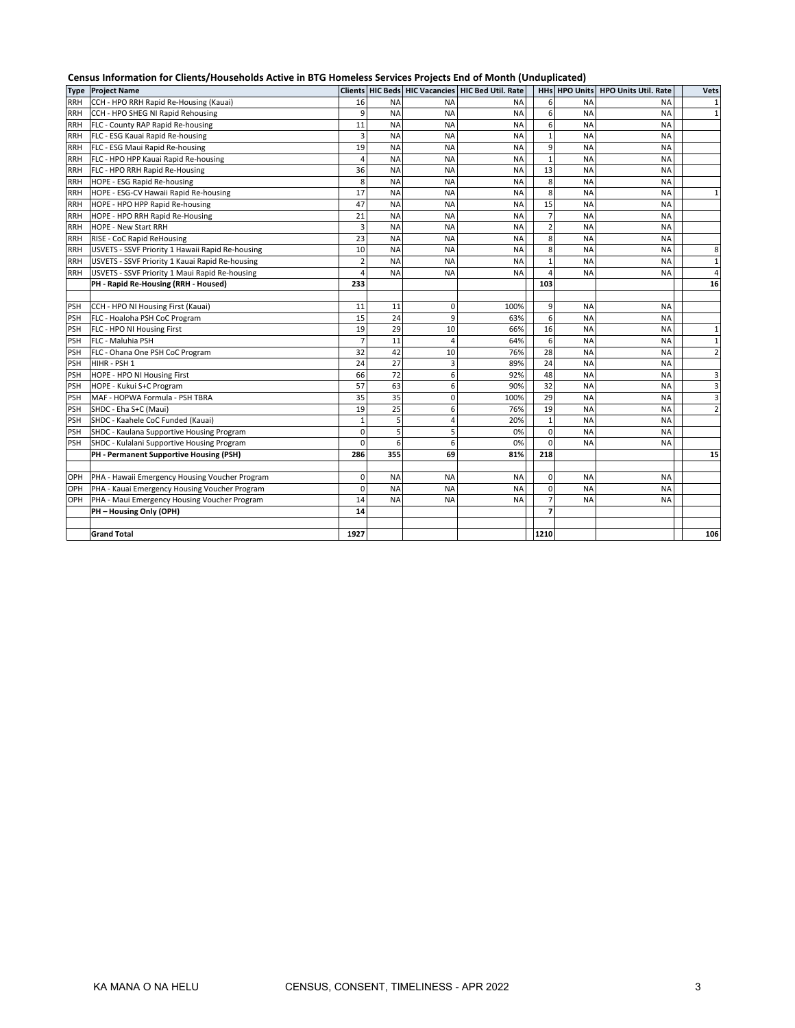|             | Census Information for Clients/Households Active in BTG Homeless Services Projects End of Month (Unduplicated) |                |           |                |                                                   |      |                             |                             |                |  |
|-------------|----------------------------------------------------------------------------------------------------------------|----------------|-----------|----------------|---------------------------------------------------|------|-----------------------------|-----------------------------|----------------|--|
| <b>Type</b> | <b>Project Name</b>                                                                                            |                |           |                | Clients HIC Beds HIC Vacancies HIC Bed Util, Rate |      | HHs HPO Units               | <b>HPO Units Util. Rate</b> | <b>Vets</b>    |  |
| <b>RRH</b>  | CCH - HPO RRH Rapid Re-Housing (Kauai)                                                                         | 16             | <b>NA</b> | <b>NA</b>      | <b>NA</b>                                         |      | 6<br><b>NA</b>              | <b>NA</b>                   | $\mathbf{1}$   |  |
| <b>RRH</b>  | CCH - HPO SHEG NI Rapid Rehousing                                                                              | 9              | <b>NA</b> | <b>NA</b>      | <b>NA</b>                                         |      | 6<br><b>NA</b>              | <b>NA</b>                   | $\mathbf{1}$   |  |
| <b>RRH</b>  | FLC - County RAP Rapid Re-housing                                                                              | 11             | <b>NA</b> | <b>NA</b>      | NA                                                |      | 6<br><b>NA</b>              | <b>NA</b>                   |                |  |
| <b>RRH</b>  | FLC - ESG Kauai Rapid Re-housing                                                                               | 3              | <b>NA</b> | <b>NA</b>      | <b>NA</b>                                         |      | <b>NA</b>                   | <b>NA</b>                   |                |  |
| <b>RRH</b>  | FLC - ESG Maui Rapid Re-housing                                                                                | 19             | <b>NA</b> | <b>NA</b>      | <b>NA</b>                                         |      | 9<br><b>NA</b>              | NA                          |                |  |
| <b>RRH</b>  | FLC - HPO HPP Kauai Rapid Re-housing                                                                           | 4              | <b>NA</b> | <b>NA</b>      | NA                                                |      | $\mathbf{1}$<br><b>NA</b>   | NA                          |                |  |
| <b>RRH</b>  | FLC - HPO RRH Rapid Re-Housing                                                                                 | 36             | <b>NA</b> | <b>NA</b>      | <b>NA</b>                                         |      | 13<br><b>NA</b>             | <b>NA</b>                   |                |  |
| <b>RRH</b>  | HOPE - ESG Rapid Re-housing                                                                                    | 8              | <b>NA</b> | <b>NA</b>      | <b>NA</b>                                         |      | 8<br><b>NA</b>              | NA                          |                |  |
| <b>RRH</b>  | HOPE - ESG-CV Hawaii Rapid Re-housing                                                                          | 17             | <b>NA</b> | <b>NA</b>      | <b>NA</b>                                         |      | 8<br><b>NA</b>              | <b>NA</b>                   | $\mathbf{1}$   |  |
| <b>RRH</b>  | HOPE - HPO HPP Rapid Re-housing                                                                                | 47             | <b>NA</b> | <b>NA</b>      | <b>NA</b>                                         |      | 15<br><b>NA</b>             | <b>NA</b>                   |                |  |
| <b>RRH</b>  | HOPE - HPO RRH Rapid Re-Housing                                                                                | 21             | <b>NA</b> | <b>NA</b>      | <b>NA</b>                                         |      | $\overline{7}$<br><b>NA</b> | <b>NA</b>                   |                |  |
| <b>RRH</b>  | <b>HOPE - New Start RRH</b>                                                                                    | 3              | <b>NA</b> | <b>NA</b>      | <b>NA</b>                                         |      | $\overline{2}$<br><b>NA</b> | <b>NA</b>                   |                |  |
| RRH         | RISE - CoC Rapid ReHousing                                                                                     | 23             | <b>NA</b> | <b>NA</b>      | <b>NA</b>                                         |      | 8<br><b>NA</b>              | <b>NA</b>                   |                |  |
| <b>RRH</b>  | USVETS - SSVF Priority 1 Hawaii Rapid Re-housing                                                               | 10             | <b>NA</b> | <b>NA</b>      | <b>NA</b>                                         |      | 8<br><b>NA</b>              | <b>NA</b>                   | 8              |  |
| <b>RRH</b>  | USVETS - SSVF Priority 1 Kauai Rapid Re-housing                                                                | $\overline{2}$ | <b>NA</b> | <b>NA</b>      | <b>NA</b>                                         |      | <b>NA</b>                   | <b>NA</b>                   | $\mathbf{1}$   |  |
| RRH         | USVETS - SSVF Priority 1 Maui Rapid Re-housing                                                                 |                | <b>NA</b> | <b>NA</b>      | <b>NA</b>                                         |      | <b>NA</b>                   | <b>NA</b>                   | 4              |  |
|             | PH - Rapid Re-Housing (RRH - Housed)                                                                           | 233            |           |                |                                                   | 103  |                             |                             | 16             |  |
|             |                                                                                                                |                |           |                |                                                   |      |                             |                             |                |  |
| <b>PSH</b>  | CCH - HPO NI Housing First (Kauai)                                                                             | 11             | 11        | 0              | 100%                                              |      | 9<br><b>NA</b>              | NA                          |                |  |
| <b>PSH</b>  | FLC - Hoaloha PSH CoC Program                                                                                  | 15             | 24        | 9              | 63%                                               |      | 6<br><b>NA</b>              | NA                          |                |  |
| <b>PSH</b>  | FLC - HPO NI Housing First                                                                                     | 19             | 29        | 10             | 66%                                               |      | 16<br><b>NA</b>             | <b>NA</b>                   | $\mathbf{1}$   |  |
| <b>PSH</b>  | FLC - Maluhia PSH                                                                                              |                | 11        | $\overline{a}$ | 64%                                               |      | 6<br><b>NA</b>              | <b>NA</b>                   | $\mathbf{1}$   |  |
| <b>PSH</b>  | FLC - Ohana One PSH CoC Program                                                                                | 32             | 42        | 10             | 76%                                               |      | 28<br><b>NA</b>             | <b>NA</b>                   | $\overline{2}$ |  |
| <b>PSH</b>  | HIHR - PSH 1                                                                                                   | 24             | 27        | $\overline{3}$ | 89%                                               |      | 24<br><b>NA</b>             | <b>NA</b>                   |                |  |
| PSH         | HOPE - HPO NI Housing First                                                                                    | 66             | 72        | 6              | 92%                                               |      | 48<br><b>NA</b>             | <b>NA</b>                   | 3              |  |
| <b>PSH</b>  | HOPE - Kukui S+C Program                                                                                       | 57             | 63        | 6              | 90%                                               |      | 32<br><b>NA</b>             | <b>NA</b>                   | 3              |  |
| <b>PSH</b>  | MAF - HOPWA Formula - PSH TBRA                                                                                 | 35             | 35        | 0              | 100%                                              |      | 29<br><b>NA</b>             | <b>NA</b>                   | 3              |  |
| <b>PSH</b>  | SHDC - Eha S+C (Maui)                                                                                          | 19             | 25        | 6              | 76%                                               |      | 19<br><b>NA</b>             | <b>NA</b>                   | $\overline{2}$ |  |
| <b>PSH</b>  | SHDC - Kaahele CoC Funded (Kauai)                                                                              | $\mathbf{1}$   | 5         | 4              | 20%                                               |      | $\overline{1}$<br><b>NA</b> | <b>NA</b>                   |                |  |
| <b>PSH</b>  | SHDC - Kaulana Supportive Housing Program                                                                      | $\Omega$       | 5         | 5              | 0%                                                |      | $\Omega$<br><b>NA</b>       | NA                          |                |  |
| PSH         | SHDC - Kulalani Supportive Housing Program                                                                     | $\Omega$       | 6         | 6              | 0%                                                |      | $\Omega$<br><b>NA</b>       | <b>NA</b>                   |                |  |
|             | PH - Permanent Supportive Housing (PSH)                                                                        | 286            | 355       | 69             | 81%                                               | 218  |                             |                             | 15             |  |
|             |                                                                                                                |                |           |                |                                                   |      |                             |                             |                |  |
| OPH         | PHA - Hawaii Emergency Housing Voucher Program                                                                 | $\mathbf 0$    | <b>NA</b> | <b>NA</b>      | <b>NA</b>                                         |      | $\mathbf 0$<br><b>NA</b>    | <b>NA</b>                   |                |  |
| OPH         | PHA - Kauai Emergency Housing Voucher Program                                                                  | $\mathbf 0$    | ΝA        | <b>NA</b>      | NA                                                |      | $\Omega$<br><b>NA</b>       | <b>NA</b>                   |                |  |
| OPH         | PHA - Maui Emergency Housing Voucher Program                                                                   | 14             | <b>NA</b> | <b>NA</b>      | <b>NA</b>                                         |      | 7<br><b>NA</b>              | <b>NA</b>                   |                |  |
|             | PH - Housing Only (OPH)                                                                                        | 14             |           |                |                                                   |      |                             |                             |                |  |
|             |                                                                                                                |                |           |                |                                                   |      |                             |                             |                |  |
|             | <b>Grand Total</b>                                                                                             | 1927           |           |                |                                                   | 1210 |                             |                             | 106            |  |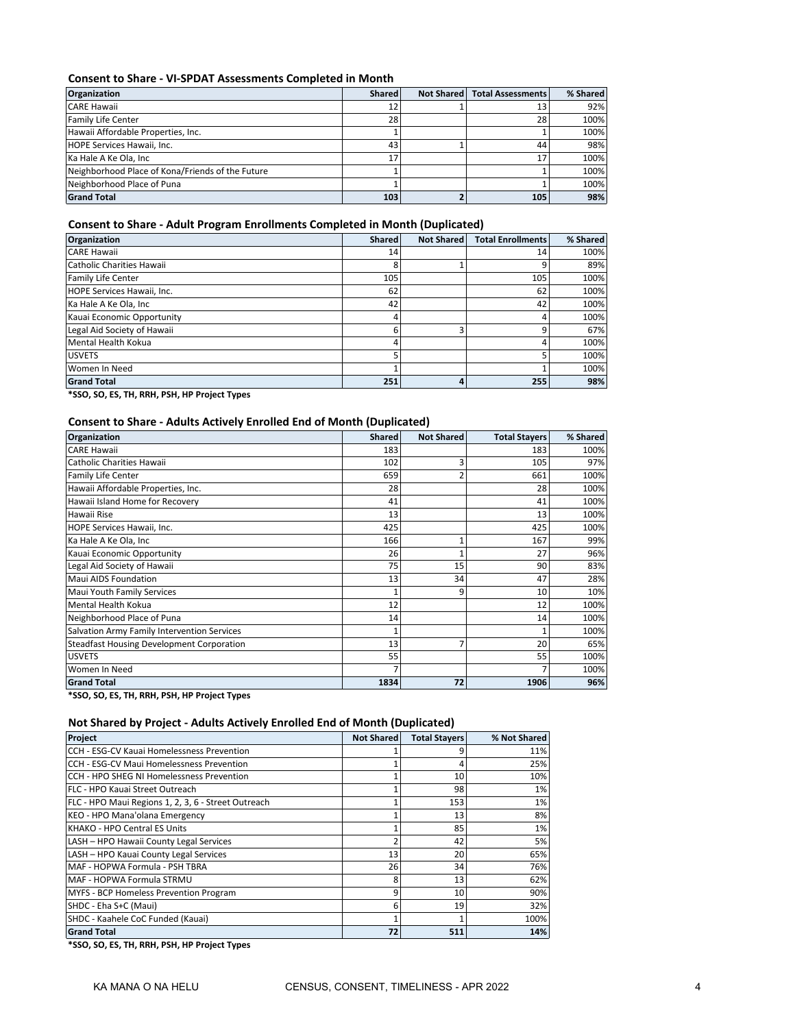#### **Consent to Share - VI-SPDAT Assessments Completed in Month**

| <b>Organization</b>                              | <b>Shared</b> | Not Shared | <b>Total Assessments</b> | % Shared |
|--------------------------------------------------|---------------|------------|--------------------------|----------|
| <b>CARE Hawaii</b>                               | 12            |            | 13                       | 92%      |
| Family Life Center                               | 28            |            | 28                       | 100%     |
| Hawaii Affordable Properties, Inc.               |               |            |                          | 100%     |
| HOPE Services Hawaii, Inc.                       | 43            |            | 44                       | 98%      |
| Ka Hale A Ke Ola, Inc.                           | 17            |            | 17                       | 100%     |
| Neighborhood Place of Kona/Friends of the Future |               |            |                          | 100%     |
| Neighborhood Place of Puna                       |               |            |                          | 100%     |
| <b>Grand Total</b>                               | 103           |            | 105                      | 98%      |

### **Consent to Share - Adult Program Enrollments Completed in Month (Duplicated)**

| Organization                | <b>Shared</b> | <b>Not Shared</b> | <b>Total Enrollments</b> | % Shared |
|-----------------------------|---------------|-------------------|--------------------------|----------|
| <b>CARE Hawaii</b>          | 14            |                   | 14                       | 100%     |
| Catholic Charities Hawaii   | 8             |                   | 9                        | 89%      |
| <b>Family Life Center</b>   | 105           |                   | 105                      | 100%     |
| HOPE Services Hawaii, Inc.  | 62            |                   | 62                       | 100%     |
| Ka Hale A Ke Ola, Inc       | 42            |                   | 42                       | 100%     |
| Kauai Economic Opportunity  | 4             |                   | 4                        | 100%     |
| Legal Aid Society of Hawaii | 6             | 3                 | 9                        | 67%      |
| Mental Health Kokua         | 4             |                   | 4                        | 100%     |
| <b>USVETS</b>               | 5             |                   |                          | 100%     |
| Women In Need               |               |                   |                          | 100%     |
| <b>Grand Total</b>          | 251           | 4                 | 255                      | 98%      |

**\*SSO, SO, ES, TH, RRH, PSH, HP Project Types**

#### **Consent to Share - Adults Actively Enrolled End of Month (Duplicated)**

| <b>Organization</b>                              | Shared | <b>Not Shared</b> | <b>Total Stayers</b> | % Shared |
|--------------------------------------------------|--------|-------------------|----------------------|----------|
| <b>CARE Hawaii</b>                               | 183    |                   | 183                  | 100%     |
| Catholic Charities Hawaii                        | 102    | 3                 | 105                  | 97%      |
| <b>Family Life Center</b>                        | 659    | $\overline{2}$    | 661                  | 100%     |
| Hawaii Affordable Properties, Inc.               | 28     |                   | 28                   | 100%     |
| Hawaii Island Home for Recovery                  | 41     |                   | 41                   | 100%     |
| Hawaii Rise                                      | 13     |                   | 13                   | 100%     |
| HOPE Services Hawaii, Inc.                       | 425    |                   | 425                  | 100%     |
| Ka Hale A Ke Ola, Inc                            | 166    | 1                 | 167                  | 99%      |
| Kauai Economic Opportunity                       | 26     |                   | 27                   | 96%      |
| Legal Aid Society of Hawaii                      | 75     | 15                | 90                   | 83%      |
| Maui AIDS Foundation                             | 13     | 34                | 47                   | 28%      |
| Maui Youth Family Services                       |        | 9                 | 10                   | 10%      |
| Mental Health Kokua                              | 12     |                   | 12                   | 100%     |
| Neighborhood Place of Puna                       | 14     |                   | 14                   | 100%     |
| Salvation Army Family Intervention Services      |        |                   |                      | 100%     |
| <b>Steadfast Housing Development Corporation</b> | 13     | $\overline{7}$    | 20                   | 65%      |
| <b>USVETS</b>                                    | 55     |                   | 55                   | 100%     |
| Women In Need                                    |        |                   |                      | 100%     |
| <b>Grand Total</b>                               | 1834   | 72                | 1906                 | 96%      |

**\*SSO, SO, ES, TH, RRH, PSH, HP Project Types**

## **Not Shared by Project - Adults Actively Enrolled End of Month (Duplicated)**

| Project                                             | <b>Not Shared</b> | <b>Total Stayers</b> | % Not Shared |
|-----------------------------------------------------|-------------------|----------------------|--------------|
| CCH - ESG-CV Kauai Homelessness Prevention          |                   |                      | 11%          |
| CCH - ESG-CV Maui Homelessness Prevention           |                   |                      | 25%          |
| CCH - HPO SHEG NI Homelessness Prevention           |                   | 10                   | 10%          |
| FLC - HPO Kauai Street Outreach                     |                   | 98                   | 1%           |
| FLC - HPO Maui Regions 1, 2, 3, 6 - Street Outreach |                   | 153                  | $1\%$        |
| KEO - HPO Mana'olana Emergency                      |                   | 13                   | 8%           |
| KHAKO - HPO Central ES Units                        |                   | 85                   | 1%           |
| LASH - HPO Hawaii County Legal Services             |                   | 42                   | 5%           |
| LASH - HPO Kauai County Legal Services              | 13                | 20                   | 65%          |
| MAF - HOPWA Formula - PSH TBRA                      | 26                | 34                   | 76%          |
| MAF - HOPWA Formula STRMU                           | 8                 | 13                   | 62%          |
| MYFS - BCP Homeless Prevention Program              | 9                 | 10                   | 90%          |
| SHDC - Eha S+C (Maui)                               | 6                 | 19                   | 32%          |
| SHDC - Kaahele CoC Funded (Kauai)                   |                   |                      | 100%         |
| <b>Grand Total</b>                                  | 72                | 511                  | 14%          |

**\*SSO, SO, ES, TH, RRH, PSH, HP Project Types**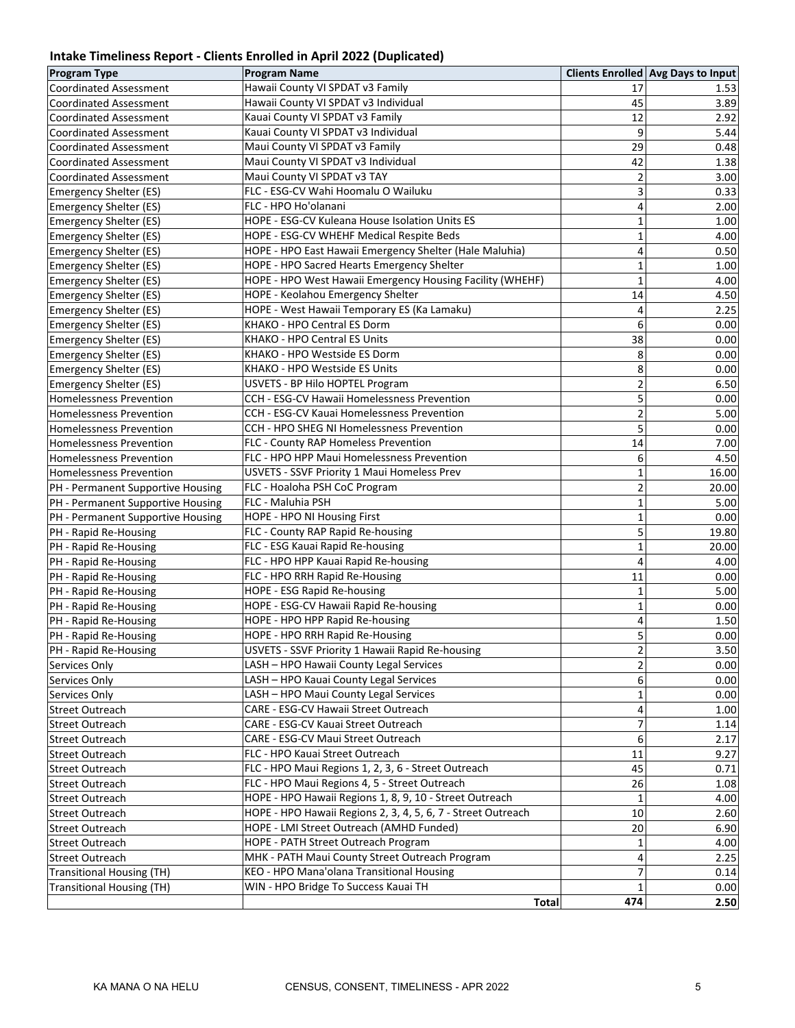# **Intake Timeliness Report - Clients Enrolled in April 2022 (Duplicated)**

| <b>Program Type</b>               | $\mathbf{v}$ and $\mathbf{v}$<br><b>Program Name</b>         |                         | Clients Enrolled Avg Days to Input |
|-----------------------------------|--------------------------------------------------------------|-------------------------|------------------------------------|
| Coordinated Assessment            | Hawaii County VI SPDAT v3 Family                             | 17                      | 1.53                               |
| <b>Coordinated Assessment</b>     | Hawaii County VI SPDAT v3 Individual                         | 45                      | 3.89                               |
| <b>Coordinated Assessment</b>     | Kauai County VI SPDAT v3 Family                              | 12                      | 2.92                               |
| <b>Coordinated Assessment</b>     | Kauai County VI SPDAT v3 Individual                          | 9                       | 5.44                               |
| <b>Coordinated Assessment</b>     | Maui County VI SPDAT v3 Family                               | 29                      | 0.48                               |
| <b>Coordinated Assessment</b>     | Maui County VI SPDAT v3 Individual                           | 42                      | 1.38                               |
| <b>Coordinated Assessment</b>     | Maui County VI SPDAT v3 TAY                                  | $\overline{2}$          | 3.00                               |
| Emergency Shelter (ES)            | FLC - ESG-CV Wahi Hoomalu O Wailuku                          | 3                       | 0.33                               |
| Emergency Shelter (ES)            | FLC - HPO Ho'olanani                                         | 4                       | 2.00                               |
| Emergency Shelter (ES)            | HOPE - ESG-CV Kuleana House Isolation Units ES               | $\mathbf{1}$            | 1.00                               |
| Emergency Shelter (ES)            | HOPE - ESG-CV WHEHF Medical Respite Beds                     | 1                       | 4.00                               |
| Emergency Shelter (ES)            | HOPE - HPO East Hawaii Emergency Shelter (Hale Maluhia)      | 4                       | 0.50                               |
| Emergency Shelter (ES)            | HOPE - HPO Sacred Hearts Emergency Shelter                   | $\mathbf{1}$            | 1.00                               |
| Emergency Shelter (ES)            | HOPE - HPO West Hawaii Emergency Housing Facility (WHEHF)    | $\mathbf{1}$            | 4.00                               |
| Emergency Shelter (ES)            | HOPE - Keolahou Emergency Shelter                            | 14                      | 4.50                               |
| Emergency Shelter (ES)            | HOPE - West Hawaii Temporary ES (Ka Lamaku)                  | 4                       | 2.25                               |
| <b>Emergency Shelter (ES)</b>     | KHAKO - HPO Central ES Dorm                                  | 6                       | 0.00                               |
| Emergency Shelter (ES)            | KHAKO - HPO Central ES Units                                 | 38                      | 0.00                               |
| <b>Emergency Shelter (ES)</b>     | KHAKO - HPO Westside ES Dorm                                 | 8                       | 0.00                               |
| <b>Emergency Shelter (ES)</b>     | KHAKO - HPO Westside ES Units                                | 8                       | 0.00                               |
| <b>Emergency Shelter (ES)</b>     | USVETS - BP Hilo HOPTEL Program                              | $\overline{c}$          | 6.50                               |
| <b>Homelessness Prevention</b>    | CCH - ESG-CV Hawaii Homelessness Prevention                  | 5                       | 0.00                               |
| <b>Homelessness Prevention</b>    | CCH - ESG-CV Kauai Homelessness Prevention                   | $\overline{c}$          | 5.00                               |
| <b>Homelessness Prevention</b>    | CCH - HPO SHEG NI Homelessness Prevention                    | 5                       | 0.00                               |
| <b>Homelessness Prevention</b>    | FLC - County RAP Homeless Prevention                         | 14                      | 7.00                               |
| <b>Homelessness Prevention</b>    | FLC - HPO HPP Maui Homelessness Prevention                   | 6                       | 4.50                               |
| Homelessness Prevention           | USVETS - SSVF Priority 1 Maui Homeless Prev                  | $\mathbf{1}$            | 16.00                              |
| PH - Permanent Supportive Housing | FLC - Hoaloha PSH CoC Program                                | $\overline{c}$          | 20.00                              |
| PH - Permanent Supportive Housing | FLC - Maluhia PSH                                            | $\mathbf{1}$            | 5.00                               |
| PH - Permanent Supportive Housing | HOPE - HPO NI Housing First                                  | $\mathbf 1$             | 0.00                               |
| PH - Rapid Re-Housing             | FLC - County RAP Rapid Re-housing                            | 5                       | 19.80                              |
| PH - Rapid Re-Housing             | FLC - ESG Kauai Rapid Re-housing                             | $\mathbf{1}$            | 20.00                              |
| PH - Rapid Re-Housing             | FLC - HPO HPP Kauai Rapid Re-housing                         | 4                       | 4.00                               |
| PH - Rapid Re-Housing             | FLC - HPO RRH Rapid Re-Housing                               | 11                      | 0.00                               |
| PH - Rapid Re-Housing             | HOPE - ESG Rapid Re-housing                                  | $\mathbf{1}$            | 5.00                               |
| PH - Rapid Re-Housing             | HOPE - ESG-CV Hawaii Rapid Re-housing                        | $\mathbf{1}$            | 0.00                               |
| PH - Rapid Re-Housing             | HOPE - HPO HPP Rapid Re-housing                              | 4                       | 1.50                               |
| PH - Rapid Re-Housing             | HOPE - HPO RRH Rapid Re-Housing                              | 5                       | 0.00                               |
| PH - Rapid Re-Housing             | USVETS - SSVF Priority 1 Hawaii Rapid Re-housing             | $\overline{\mathbf{c}}$ | 3.50                               |
| Services Only                     | LASH - HPO Hawaii County Legal Services                      | $\overline{2}$          | 0.00                               |
| Services Only                     | LASH - HPO Kauai County Legal Services                       | 6                       | 0.00                               |
| Services Only                     | LASH - HPO Maui County Legal Services                        | $\mathbf 1$             | 0.00                               |
| <b>Street Outreach</b>            | CARE - ESG-CV Hawaii Street Outreach                         | 4                       | 1.00                               |
| <b>Street Outreach</b>            | CARE - ESG-CV Kauai Street Outreach                          | 7                       | 1.14                               |
| <b>Street Outreach</b>            | CARE - ESG-CV Maui Street Outreach                           | 6                       | 2.17                               |
| <b>Street Outreach</b>            | FLC - HPO Kauai Street Outreach                              | 11                      | 9.27                               |
| <b>Street Outreach</b>            | FLC - HPO Maui Regions 1, 2, 3, 6 - Street Outreach          | 45                      | 0.71                               |
| Street Outreach                   | FLC - HPO Maui Regions 4, 5 - Street Outreach                | 26                      | 1.08                               |
| Street Outreach                   | HOPE - HPO Hawaii Regions 1, 8, 9, 10 - Street Outreach      | 1                       | 4.00                               |
| <b>Street Outreach</b>            | HOPE - HPO Hawaii Regions 2, 3, 4, 5, 6, 7 - Street Outreach | 10                      | 2.60                               |
| <b>Street Outreach</b>            | HOPE - LMI Street Outreach (AMHD Funded)                     | 20                      | 6.90                               |
| Street Outreach                   | HOPE - PATH Street Outreach Program                          | 1                       | 4.00                               |
| <b>Street Outreach</b>            | MHK - PATH Maui County Street Outreach Program               | 4                       | 2.25                               |
| <b>Transitional Housing (TH)</b>  | KEO - HPO Mana'olana Transitional Housing                    | 7                       | 0.14                               |
| <b>Transitional Housing (TH)</b>  | WIN - HPO Bridge To Success Kauai TH                         | $\mathbf{1}$            | 0.00                               |
|                                   | <b>Total</b>                                                 | 474                     | 2.50                               |